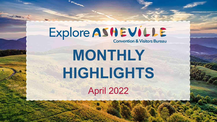# Explore ASHEVILLE

**Convention & Visitors Bureau** 

**MONTHLY HIGHLIGHTS** April 2022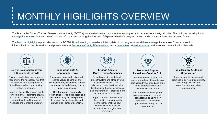# MONTHLY HIGHLIGHTS OVERVIEW

The Buncombe County Tourism Development Authority (BCTDA) has charted a new course for tourism aligned with broader community priorities. This includes the adoption of [strategic imperatives \(](https://www.ashevillecvb.com/explore-ashevilles-strategic-imperatives/)outlined below) that are informing and guiding the direction of Explore Asheville's program of work and community investments going forward.

The [Monthly Highlights](https://www.ashevillecvb.com/monthly-highlights-report-provides-updates-on-progress-toward-strategic-imperatives-adopted-by-bctda/) report, released at the BCTDA Board meetings, provides a brief update of our progress toward these strategic imperatives. You can also find information from the discussions and presentations at [Buncombe County TDA meetings](https://www.ashevillecvb.com/bctda-board-meeting-documents/), in our [newsletters](https://www.ashevillecvb.com/newsletter-archives/), at [partner events,](https://www.ashevillecvb.com/events/category/partner-event/) and via other communication channels.



### **Deliver Balanced Recovery & Sustainable Growth**

Balance resident and visitor needs, recognizing the necessary role that sustainable, long-term growth of travel has in achieving a healthy, collective economy.

Focus on the quality of each visit to our community – balancing growth across the seasons, business and leisure travel, and throughout Asheville and Buncombe County.



### **Encourage Safe & Responsible Travel**

Engage residents and visitors with shared values to care for and respect natural, cultural and human resources vital in delivering quality guest experiences.

Collaborate with community organizations, local businesses and environmentally focused partners to support the sustainability and growth of our outdoor economy.



### **Engage & Invite More Diverse Audiences**

Extend a genuine invitation to Black travelers and other diverse audiences including LGBTQ visitors – connecting them with local neighborhoods, businesses and entrepreneurs – creating more opportunities for all to win.

Support product development, place making and community connections, enabling new experiences and business opportunities throughout our community.



### **Promote & Support Asheville's Creative Spirit**

Share stories of creators and makers who help differentiate our destination through food and drink, visual and performing arts, experiences and more.

Support product development, place making and community connections, enabling new experiences and business opportunities throughout our community.



### **Run a Healthy & Efficient Organization**

Invest in people, policies and practices to serve our community with integrity within the organization's legislative requirements.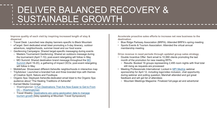# DELIVER BALANCED RECOVERY & SUSTAINABLE GROWTH

**Improve quality of each visit by inspiring increased length of stay & dispersal**

- Travel Desk: Launched new display banners specific to Black Mountain
- eTarget: Sent dedicated email blast promoting a 5-day itinerary, outdoor adventure, neighborhoods, summer travel and our food scene
- Geofencing Campaigns: Shared target-specific messaging during events
	- o Masters Tournament Geofencing: Shared an outdoors message during the tournament (April 7-10); post-event retargeting will follow in May
	- o [MO Summit: Shared destination brand message throughout the MO](https://mo-summit.com/) Summit (April 19-20), a gathering of impact CEOs; post-event retargeting will follow in May
- Mobilefuse: Showcased different Asheville neighborhoods in interactive map
- TripAdvisor: Launched a branded hub and three branded trips with themes of Creative Spirit, Nature and Foodtopia
- Organic Spa: Deployed Asheville-dedicated email blast to the Organic Spa audience about "The Healing Traditions of Asheville"
- Earned Media Coverage:
	- o Washingtonian: [5 Fun Destinations That Are Now Easier to Get to From](https://nam02.safelinks.protection.outlook.com/?url=https%3A%2F%2Fwww.washingtonian.com%2F2022%2F04%2F18%2F6-fun-destinations-that-are-now-easier-to-get-to-from-dc-direct-flights%2F&data=05%7C01%7Cmpoandl%40exploreasheville.com%7C10b0c1c3a54f43e426bc08da26c41408%7C4509bd4bf4f940048f3135892f9b5c6c%7C0%7C0%7C637864921138752013%7CUnknown%7CTWFpbGZsb3d8eyJWIjoiMC4wLjAwMDAiLCJQIjoiV2luMzIiLCJBTiI6Ik1haWwiLCJXVCI6Mn0%3D%7C3000%7C%7C%7C&sdata=6FfY1kAaMwq42IP4kZ1HdzK131l%2F%2FdtC8Q4uIzUUhZ8%3D&reserved=0)  DC – Washingtonian
	- o [Travel Weekly: Destinations are using geolocation data to manage](https://www.travelweekly.com/Travel-News/Hotel-News/Destinations-using-geolocation-data) tourism growth [Isley speaking at Mountain Travel Symposium]

**Accelerate proactive sales efforts to increase net new business to the destination**

- Blue Ridge Parkway Association (BRPA): Attended BRPA's spring meeting
- Sports Events & Tourism Association: Attended the virtual annual membership meeting

**Drive revenue in need periods through updated group sales strategy**

- Double Incentive Offer: Sent email to 10,990 clients promoting the last month of the promotion for new meeting RFPs
	- o Results: Booked 16 groups representing 2,495 room nights with final total still rising as requests are processed
- Meeting Professionals International: Locked in [MPI MedUp](https://academy.mpi.org/mpi/specialties/109/view) webinar sponsorship for April 12, including logo/video inclusion, chat opportunity during webinar and polling question; Marshall attended and got great feedback and will get list of attendees
	- o Mountain Meetings Magazine: Finalized full-page ad and advertorial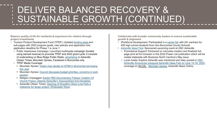# DELIVER BALANCED RECOVERY & SUSTAINABLE GROWTH (CONTINUED)

**Balance quality of life for residents & experience for visitors through project investments**

- Tourism Product Development Fund (TPDF): Updated [landing page a](https://www.ashevillecvb.com/product-development/)nd sub-pages with 2022 program guide, new policies and application link; application deadline for Phase 1 is June 1
	- o Public Awareness Campaign: Launched multimedia campaign (funded using earned revenue) to promote TPDF and 2022 grant cycle; it consists of underwriting on Blue Ridge Public Radio, [advertising](https://www.ashevillecvb.com/wp-content/uploads/Explore-Asheville-Ad-FullPg-CT-05.01.22-via-KPetersen.pdf) in Asheville Citizen Times, Mountain Xpress, Facebook in Buncombe only
	- o TPDF Media Coverage:
		- [Mountain Xpress: Voters may decide on \\$70M in Buncombe borrowing](https://mountainx.com/news/voters-may-decide-on-70m-in-buncombe-borrowing-this-year/)  this year
		- [Mountain Xpress: Council discusses budget priorities, concerns in work](https://mountainx.com/news/council-discusses-budget-priorities-concerns-in-work-session/)  session
		- Religion Unplugged: Easter PBS Documentary Follows Creation Of Church Fresco, Depicts Asheville's Impoverished And Homeless
		- [Asheville Citizen Times: Opening of Woodfin's Silver-Line Park a](https://www.citizen-times.com/story/news/2022/04/19/woodfin-silver-line-park-marks-milestone-larger-parks-project-whitewater-wave-update/7354769001/)  milestone for larger project, Whitewater Wave

**Collaborate with broader community leaders to ensure sustainable growth & alignment**

- Workforce Development: Participated in a [career fair](https://www.youtube.com/watch?v=1lNdjWICGgk) with 20+ partners for 400 high school students from nine Buncombe County Schools
- [Asheville Ideas Fest:](https://www.exploreasheville.com/asheville-ideas-fest/) Sponsored upcoming event at UNC Asheville
	- o Promotional Support: Partnered on microsite creation and finalized fullpage print ad for inclusion in the 2022 Power List publication which will be mailed statewide with Business North Carolina's May issue
	- o Local media: Explore Asheville was mentioned and Isley quoted in UNC [Asheville Announces Inaugural Asheville Ideas Fest on June 14-18, 2022;](https://www.unca.edu/events-and-news/stories/unc-asheville-announces-inaugural-asheville-ideas-fest-on-june-14-18-2022/) coverage on [WLOS,](https://wlos.com/news/local/asheville-ideas-fest-unca-bringing-leaders-together-to-discuss-variety-of-topics-first-ever-inaugural-nancy-cable-biltmore-estate-grove-park-inn-wortham-center-for-the-performing-arts-steep-canyon-rangers) [Mountain Xpress,](https://mountainx.com/blogwire/unca-hosts-inaugural-asheville-ideas-fest-june-14-18/) Asheville News Online.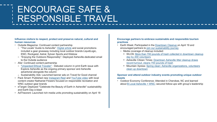### ENCOURAGE SAFE & RESPONSIBLE TRAVEL

### **Influence visitors to respect, protect and preserve natural, cultural and human resources**

- Outside Magazine: Continued content partnership
	- o "The Locals' Guide to Asheville": [Digital article](https://www.outsideonline.com/adventure-travel/the-locals-guide-to-asheville/) and social promotions included a gear giveaway including local outdoor brands LiquidLogic, ENO, Rockgeist, Astral, Sylvan Sports and Kitsbow
	- o "Enjoying the Outdoors Responsibly": Deployed Asheville-dedicated email to the Outside audience
- Afar: Continued content partnership
	- o ["Unpacked Ethical Traveler"](https://www.afar.com/magazine/unpacked-is-there-a-way-to-ethically-travel-the-world): Debuted column in print Earth issue with Explore Asheville as the ongoing primary sponsor and Asheville advertorial alongside the column
	- o Sustainability Ads: Launched banner ads on Travel for Good channel
- Pack Smart: Published new [Instagram Reel](https://www.instagram.com/p/CcnkvtogwGV/) and [YouTube video](https://www.youtube.com/watch?v=6y4idxL9yUs) with local content creator Nathaniel Flowers focused on responsible recreation and WNC outdoor gear brands
- eTarget: Deployed "Celebrate the Beauty of Earth in Asheville" sustainability and Earth Day e-blast
- AdTheorent: Launched rich media units promoting sustainability on April 18

### **Encourage partners to embrace sustainable and responsible tourism practices**

- Earth Week: Participated in the [Downtown Cleanup](https://asheville-greenworks.networkforgood.com/events/39725-downtown-lunchtime-cleanup) on April 19 and encouraged partners to [join our sustainability journey](https://marketing.exploreasheville.com/acton/fs/blocks/showLandingPage/a/43256/p/p-002b/t/page/fm/0) 
	- o Media coverage of cleanup included:
		- [WLOS: More than 700 pounds of trash collected in downtown cleanup](https://wlos.com/community/carolina-moment/more-than-700-pounds-of-trash-collected-in-asheville-downtown-cleanup-day-200-volunteers-biggest-turnout)  day by 200 volunteers
		- [Asheville Citizen Times: Downtown Asheville litter cleanup draws](https://www.citizen-times.com/story/news/local/2022/04/20/downtown-asheville-litter-cleanup-collects-700-pounds-trash-greenworks/7369586001/)  record turnout, cleans 700 pounds of trash
		- [Mountain Xpress: Spring clean: Asheville organizations, volunteers](https://mountainx.com/news/spring-clean-asheville-organizations-volunteers-clean-up-downtown/)  clean up downtown

### **Sponsor and attend outdoor industry events promoting unique outdoor assets**

• Outdoor Economy Conference: Attended in Cherokee, NC and learned about [B Local Asheville + WNC;](http://blocalavlwnc.com/) secured follow-ups with group's leadership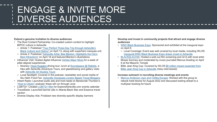### ENGAGE & INVITE MORE DIVERSE AUDIENCES

### **Extend a genuine invitation to diverse audiences**

- The Root Content Partnership: Co-created custom content to highlight BIPOC culture in Asheville
	- o [Article 1: Published "Your Perfect Three-Day Trip through Asheville's](https://www.theroot.com/your-perfect-three-day-trip-through-ashevilles-black-cu-1848747671)  Black Culture and History" on April 13, along with superhero marquee unit
	- o [Article 2: Published "Asheville Artist, Bee Blanton, Highlights the City's](https://www.theroot.com/asheville-artist-bee-blanton-highlights-the-citys-bes-1848777836?rev=1650303282435) Best Attractions" on April 18 and featured Blanton's illustrations
- Influencer Visit: Hosted digital influencer [Ashlee Major Moss](https://www.instagram.com/ashleemajormoss/) for a week of pillar-aligned experiences
	- o Itinerary: [Hood Huggers](https://www.exploreasheville.com/listings/hood-huggers-international-tours/8131/) driving tour, lunch at [Soundspace @ Rabbits,](https://www.exploreasheville.com/articles/post/soundspace-rabbits-links-history-community-through-music-food/) a hike with Asheville Adventure Tours, and glassblowing and gallery visits with [Asheville Art Studios Tours](https://www.exploreasheville.com/listings/asheville-art-studio-tours/8157/)
	- o Local Spotlight: Covered in the podcast, newsletter and social media of Stu Helm Food Fan: [Asheville Impresses London Based Travel Bloggers](https://stuhelmfoodfan.substack.com/p/good-morning-friends-6c8?r=5ndwj&s=w&utm_campaign=post&utm_medium=web&fbclid=IwAR2NZ0K6ZsbaCZMx7-j9cR46G3TCSptojAJXY2AdOHmbedcX5SSEQ2aqGeU)
- iHeart Radio: Launched audio ads and host-reads on Baratunde Thurston's ["How to Citizen" p](https://www.howtocitizen.com/)odcast; these will run through June
- LGBTQ+: Created [LGBTQ+ filter](https://www.exploreasheville.com/event-calendar/?view=grid&sort=date&filter_categories%5B0%5D=77) for ExploreAsheville.com events calendar
- TravelDesk: Launched banner ads in Atlanta Black Star and Essence travel section
- Diverse Display Ads: Finalized new diversity-specific display banners

**Develop and invest in community projects that attract and engage diverse audiences**

- [WNC Black Business Expo:](https://wncmba.org/wnc-black-business-expo/) Sponsored and exhibited at the inaugural expo on April 8
	- o Local Coverage: Event was well covered by local media, including WLOS: [Inaugural WNC Black Business Expo draws crowd in Asheville](https://wlos.com/news/local/inaugural-wnc-black-business-expo-draws-crowd-in-asheville-minority-business-association-rika-harrison-wncmba-north-carolina)
- [BLACKALACHIA:](https://www.ashevillecvb.com/event/an-evening-with-moses-sumney-screening-of-blackalachia-concept-performance-film/) Hosted a sold-out film screening and Q+A with local artist Moses Sumney and moderated by music journalist Marcus Dowling on April 8 at the Masonic Temple
- [Billie Jean King Cup: Covered by WLOS \\$8 million impact expected from](https://wlos.com/news/local/billie-jean-king-cup-asheville-north-carolina-8-million-impact-expected-team-usa-versus-ukraine)  Billie Jean King Cup in Asheville (Isley interviewed)

### **Increase outreach in recruiting diverse meetings and events**

• [Marcus Anderson Jazz and Coffee Escape:](https://jazzandcoffee-escape.net/) Worked with this group to rebook hotel blocks for August 2022 and discussed looking ahead to a multiyear booking for future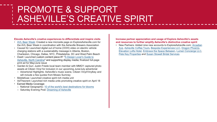# PROMOTE & SUPPORT ASHEVILLE'S CREATIVE SPIRIT

#### **Elevate Asheville's creative experiences to differentiate and inspire visits**

- [AVL Beer Week:](https://www.exploreasheville.com/asheville-beer-week/) Created a new microsite page on ExploreAsheville.com for the AVL Beer Week in coordination with the Asheville Brewers Association
- Causal IQ: Launched digital out of home (OOH) video on electric vehicle charging stations with a sustainability message in Atlanta, Boston, Charleston, Chicago, Dallas, NYC, Philadelphia, DC and West Palm Beach
- [Dwell: Launched custom content piece #1 "A Design Lover's Guide to](https://nam02.safelinks.protection.outlook.com/?url=https%3A%2F%2Fwww.dwell.com%2Farticle%2Fdesign-lovers-guide-explore-asheville-north-carolina-a024e88d&data=05%7C01%7Cskilgore%40exploreasheville.com%7C188cd09f3df341fb121408da346054a0%7C4509bd4bf4f940048f3135892f9b5c6c%7C0%7C0%7C637879885605812027%7CUnknown%7CTWFpbGZsb3d8eyJWIjoiMC4wLjAwMDAiLCJQIjoiV2luMzIiLCJBTiI6Ik1haWwiLCJXVCI6Mn0%3D%7C3000%7C%7C%7C&sdata=8I0aEwtcRVEPG5hbi6I3mI%2BvBqg25po7R76mbJ3AZA8%3D&reserved=0) Asheville, North Carolina" and supporting display media; finalized full-page print ad for May/June issue
- Garden & Gun: Justin Friede local team member with MMGY captured photo assets at Citizen Vinyl for inclusion in our upcoming June/July advertorial
	- o Advertorial Highlights: Asheville's music scene, Citizen Vinyl/Vinylkey and will include a few quotes from Moses Sumney
- Mobilefuse: Launched creative spirit rich media unit
- AdTheorent: Launched rich media units promoting creative spirit on April 18
- Earned Media Coverage:
	- o National Geographic: [10 of the world's best destinations for blooms](https://www.nationalgeographic.co.uk/travel/2022/03/10-of-the-worlds-best-destinations-for-blooms)
	- o Saturday Evening Post: [Dreaming of Asheville](https://nam02.safelinks.protection.outlook.com/?url=https%3A%2F%2Fwww.saturdayeveningpost.com%2F2022%2F04%2Fdreaming-of-asheville%2F&data=04%7C01%7Cmpoandl%40exploreasheville.com%7C1d2afb3e8a8446d195ca08da2138ab5c%7C4509bd4bf4f940048f3135892f9b5c6c%7C0%7C0%7C637858824679788878%7CUnknown%7CTWFpbGZsb3d8eyJWIjoiMC4wLjAwMDAiLCJQIjoiV2luMzIiLCJBTiI6Ik1haWwiLCJXVCI6Mn0%3D%7C3000&sdata=TVLOeR1b%2BsKuPObRFGnkxhJjeZI5310Pnae9fOk%2B9Zg%3D&reserved=0)

### **Increase partner appreciation and usage of Explore Asheville's assets and resources to further amplify Asheville's distinctive creative spirit**

• New Partners: Added nine new accounts to ExploreAsheville.com: Arcadian [Ave, Asheville Coffee Tours, Bespoke Experiences LLC, Dragon Phoenix,](https://www.exploreasheville.com/listings/arcadian-ave/17047/)  [Elevation Lofts Hotel,](https://www.exploreasheville.com/listings/elevation-lofts-hotel/17021/) [Embrace the Space Between,](https://www.exploreasheville.com/listings/embrace-the-space-between/17089/) [Lumen Concierge LLC](https://www.exploreasheville.com/listings/lumen-concierge-llc/17014/), [Pete Key Properties](https://www.exploreasheville.com/listings/pete-key-properties/17010/) and [Susan Stowell Bridal Services](https://www.exploreasheville.com/listings/susan-stowell-bridal-couture-services/17017/)